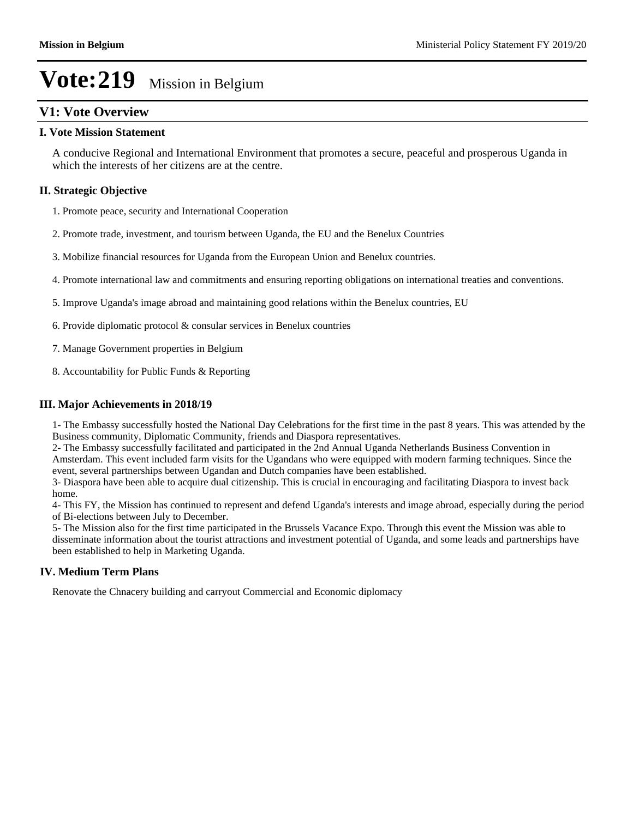### **V1: Vote Overview**

#### **I. Vote Mission Statement**

A conducive Regional and International Environment that promotes a secure, peaceful and prosperous Uganda in which the interests of her citizens are at the centre.

#### **II. Strategic Objective**

1. Promote peace, security and International Cooperation

- 2. Promote trade, investment, and tourism between Uganda, the EU and the Benelux Countries
- 3. Mobilize financial resources for Uganda from the European Union and Benelux countries.
- 4. Promote international law and commitments and ensuring reporting obligations on international treaties and conventions.
- 5. Improve Uganda's image abroad and maintaining good relations within the Benelux countries, EU
- 6. Provide diplomatic protocol & consular services in Benelux countries
- 7. Manage Government properties in Belgium
- 8. Accountability for Public Funds & Reporting

#### **III. Major Achievements in 2018/19**

1- The Embassy successfully hosted the National Day Celebrations for the first time in the past 8 years. This was attended by the Business community, Diplomatic Community, friends and Diaspora representatives.

2- The Embassy successfully facilitated and participated in the 2nd Annual Uganda Netherlands Business Convention in Amsterdam. This event included farm visits for the Ugandans who were equipped with modern farming techniques. Since the event, several partnerships between Ugandan and Dutch companies have been established.

3- Diaspora have been able to acquire dual citizenship. This is crucial in encouraging and facilitating Diaspora to invest back home.

4- This FY, the Mission has continued to represent and defend Uganda's interests and image abroad, especially during the period of Bi-elections between July to December.

5- The Mission also for the first time participated in the Brussels Vacance Expo. Through this event the Mission was able to disseminate information about the tourist attractions and investment potential of Uganda, and some leads and partnerships have been established to help in Marketing Uganda.

#### **IV. Medium Term Plans**

Renovate the Chnacery building and carryout Commercial and Economic diplomacy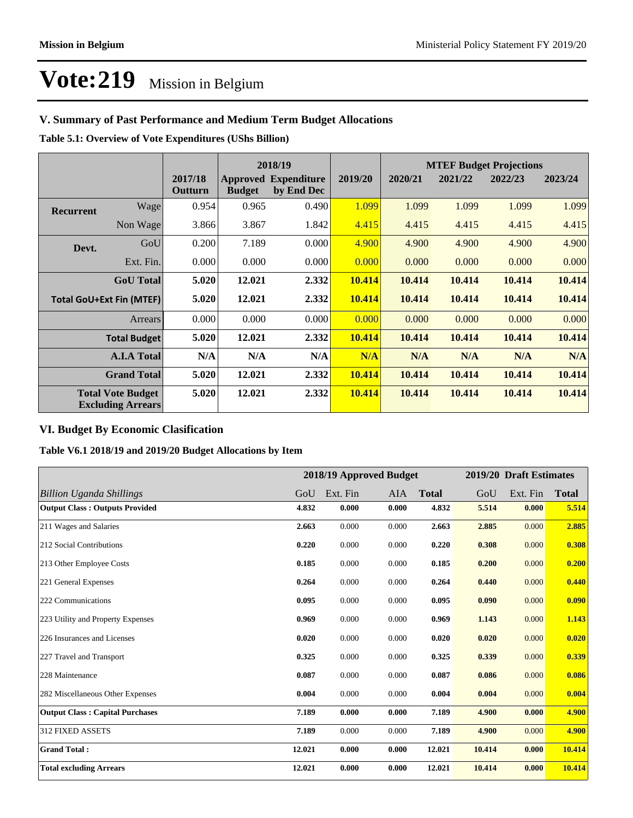### **V. Summary of Past Performance and Medium Term Budget Allocations**

**Table 5.1: Overview of Vote Expenditures (UShs Billion)**

|                                                      |                     |                    | 2018/19       |                                           |         | <b>MTEF Budget Projections</b> |         |         |         |
|------------------------------------------------------|---------------------|--------------------|---------------|-------------------------------------------|---------|--------------------------------|---------|---------|---------|
|                                                      |                     | 2017/18<br>Outturn | <b>Budget</b> | <b>Approved Expenditure</b><br>by End Dec | 2019/20 | 2020/21                        | 2021/22 | 2022/23 | 2023/24 |
| Recurrent                                            | Wage                | 0.954              | 0.965         | 0.490                                     | 1.099   | 1.099                          | 1.099   | 1.099   | 1.099   |
|                                                      | Non Wage            | 3.866              | 3.867         | 1.842                                     | 4.415   | 4.415                          | 4.415   | 4.415   | 4.415   |
| Devt.                                                | GoU                 | 0.200              | 7.189         | 0.000                                     | 4.900   | 4.900                          | 4.900   | 4.900   | 4.900   |
|                                                      | Ext. Fin.           | 0.000              | 0.000         | 0.000                                     | 0.000   | 0.000                          | 0.000   | 0.000   | 0.000   |
|                                                      | <b>GoU</b> Total    | 5.020              | 12.021        | 2.332                                     | 10.414  | 10.414                         | 10.414  | 10.414  | 10.414  |
| <b>Total GoU+Ext Fin (MTEF)</b>                      |                     | 5.020              | 12.021        | 2.332                                     | 10.414  | 10.414                         | 10.414  | 10.414  | 10.414  |
|                                                      | Arrears             | 0.000              | 0.000         | 0.000                                     | 0.000   | 0.000                          | 0.000   | 0.000   | 0.000   |
|                                                      | <b>Total Budget</b> | 5.020              | 12.021        | 2.332                                     | 10.414  | 10.414                         | 10.414  | 10.414  | 10.414  |
|                                                      | <b>A.I.A Total</b>  | N/A                | N/A           | N/A                                       | N/A     | N/A                            | N/A     | N/A     | N/A     |
| <b>Grand Total</b>                                   |                     | 5.020              | 12.021        | 2.332                                     | 10.414  | 10.414                         | 10.414  | 10.414  | 10.414  |
| <b>Total Vote Budget</b><br><b>Excluding Arrears</b> |                     | 5.020              | 12.021        | 2.332                                     | 10.414  | 10.414                         | 10.414  | 10.414  | 10.414  |

### **VI. Budget By Economic Clasification**

**Table V6.1 2018/19 and 2019/20 Budget Allocations by Item**

|                                        |        | 2018/19 Approved Budget |       |              |        | 2019/20 Draft Estimates |              |
|----------------------------------------|--------|-------------------------|-------|--------------|--------|-------------------------|--------------|
| Billion Uganda Shillings               | GoU    | Ext. Fin                | AIA   | <b>Total</b> | GoU    | Ext. Fin                | <b>Total</b> |
| <b>Output Class: Outputs Provided</b>  | 4.832  | 0.000                   | 0.000 | 4.832        | 5.514  | 0.000                   | 5.514        |
| 211 Wages and Salaries                 | 2.663  | 0.000                   | 0.000 | 2.663        | 2.885  | 0.000                   | 2.885        |
| 212 Social Contributions               | 0.220  | 0.000                   | 0.000 | 0.220        | 0.308  | 0.000                   | 0.308        |
| 213 Other Employee Costs               | 0.185  | 0.000                   | 0.000 | 0.185        | 0.200  | 0.000                   | 0.200        |
| 221 General Expenses                   | 0.264  | 0.000                   | 0.000 | 0.264        | 0.440  | 0.000                   | 0.440        |
| 222 Communications                     | 0.095  | 0.000                   | 0.000 | 0.095        | 0.090  | 0.000                   | 0.090        |
| 223 Utility and Property Expenses      | 0.969  | 0.000                   | 0.000 | 0.969        | 1.143  | 0.000                   | 1.143        |
| 226 Insurances and Licenses            | 0.020  | 0.000                   | 0.000 | 0.020        | 0.020  | 0.000                   | 0.020        |
| 227 Travel and Transport               | 0.325  | 0.000                   | 0.000 | 0.325        | 0.339  | 0.000                   | 0.339        |
| 228 Maintenance                        | 0.087  | 0.000                   | 0.000 | 0.087        | 0.086  | 0.000                   | 0.086        |
| 282 Miscellaneous Other Expenses       | 0.004  | 0.000                   | 0.000 | 0.004        | 0.004  | 0.000                   | 0.004        |
| <b>Output Class: Capital Purchases</b> | 7.189  | 0.000                   | 0.000 | 7.189        | 4.900  | 0.000                   | 4.900        |
| <b>312 FIXED ASSETS</b>                | 7.189  | 0.000                   | 0.000 | 7.189        | 4.900  | 0.000                   | 4.900        |
| <b>Grand Total:</b>                    | 12.021 | 0.000                   | 0.000 | 12.021       | 10.414 | 0.000                   | 10.414       |
| <b>Total excluding Arrears</b>         | 12.021 | 0.000                   | 0.000 | 12.021       | 10.414 | 0.000                   | 10.414       |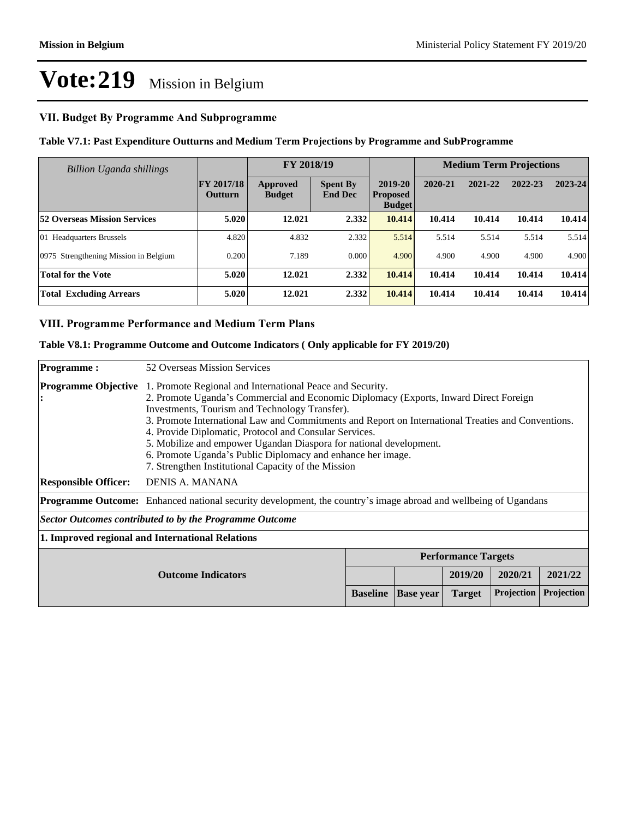#### **VII. Budget By Programme And Subprogramme**

#### **Table V7.1: Past Expenditure Outturns and Medium Term Projections by Programme and SubProgramme**

| Billion Uganda shillings              | FY 2018/19                          |                           |                                   |                                             | <b>Medium Term Projections</b> |         |         |         |
|---------------------------------------|-------------------------------------|---------------------------|-----------------------------------|---------------------------------------------|--------------------------------|---------|---------|---------|
|                                       | <b>FY 2017/18</b><br><b>Outturn</b> | Approved<br><b>Budget</b> | <b>Spent By</b><br><b>End Dec</b> | 2019-20<br><b>Proposed</b><br><b>Budget</b> | 2020-21                        | 2021-22 | 2022-23 | 2023-24 |
| <b>52 Overseas Mission Services</b>   | 5.020                               | 12.021                    | 2.332                             | 10.414                                      | 10.414                         | 10.414  | 10.414  | 10.414  |
| 01 Headquarters Brussels              | 4.820                               | 4.832                     | 2.332                             | 5.514                                       | 5.514                          | 5.514   | 5.514   | 5.514   |
| 0975 Strengthening Mission in Belgium | 0.200                               | 7.189                     | 0.000                             | 4.900                                       | 4.900                          | 4.900   | 4.900   | 4.900   |
| <b>Total for the Vote</b>             | 5.020                               | 12.021                    | 2.332                             | 10.414                                      | 10.414                         | 10.414  | 10.414  | 10.414  |
| <b>Total Excluding Arrears</b>        | 5.020                               | 12.021                    | 2.332                             | 10.414                                      | 10.414                         | 10.414  | 10.414  | 10.414  |

#### **VIII. Programme Performance and Medium Term Plans**

#### **Table V8.1: Programme Outcome and Outcome Indicators ( Only applicable for FY 2019/20)**

| <b>Programme:</b>                                                                                                      | 52 Overseas Mission Services                                                                                                                                                                                                                                                                                                                                                                                                                                                                                                                                     |                 |                  |                            |                   |            |
|------------------------------------------------------------------------------------------------------------------------|------------------------------------------------------------------------------------------------------------------------------------------------------------------------------------------------------------------------------------------------------------------------------------------------------------------------------------------------------------------------------------------------------------------------------------------------------------------------------------------------------------------------------------------------------------------|-----------------|------------------|----------------------------|-------------------|------------|
| <b>Programme Objective</b>                                                                                             | 1. Promote Regional and International Peace and Security.<br>2. Promote Uganda's Commercial and Economic Diplomacy (Exports, Inward Direct Foreign<br>Investments, Tourism and Technology Transfer).<br>3. Promote International Law and Commitments and Report on International Treaties and Conventions.<br>4. Provide Diplomatic, Protocol and Consular Services.<br>5. Mobilize and empower Ugandan Diaspora for national development.<br>6. Promote Uganda's Public Diplomacy and enhance her image.<br>7. Strengthen Institutional Capacity of the Mission |                 |                  |                            |                   |            |
| <b>Responsible Officer:</b>                                                                                            | DENIS A. MANANA                                                                                                                                                                                                                                                                                                                                                                                                                                                                                                                                                  |                 |                  |                            |                   |            |
| <b>Programme Outcome:</b> Enhanced national security development, the country's image abroad and wellbeing of Ugandans |                                                                                                                                                                                                                                                                                                                                                                                                                                                                                                                                                                  |                 |                  |                            |                   |            |
|                                                                                                                        | Sector Outcomes contributed to by the Programme Outcome                                                                                                                                                                                                                                                                                                                                                                                                                                                                                                          |                 |                  |                            |                   |            |
| 1. Improved regional and International Relations                                                                       |                                                                                                                                                                                                                                                                                                                                                                                                                                                                                                                                                                  |                 |                  |                            |                   |            |
|                                                                                                                        |                                                                                                                                                                                                                                                                                                                                                                                                                                                                                                                                                                  |                 |                  | <b>Performance Targets</b> |                   |            |
| <b>Outcome Indicators</b>                                                                                              |                                                                                                                                                                                                                                                                                                                                                                                                                                                                                                                                                                  |                 |                  | 2019/20                    | 2020/21           | 2021/22    |
|                                                                                                                        |                                                                                                                                                                                                                                                                                                                                                                                                                                                                                                                                                                  | <b>Baseline</b> | <b>Base year</b> | <b>Target</b>              | <b>Projection</b> | Projection |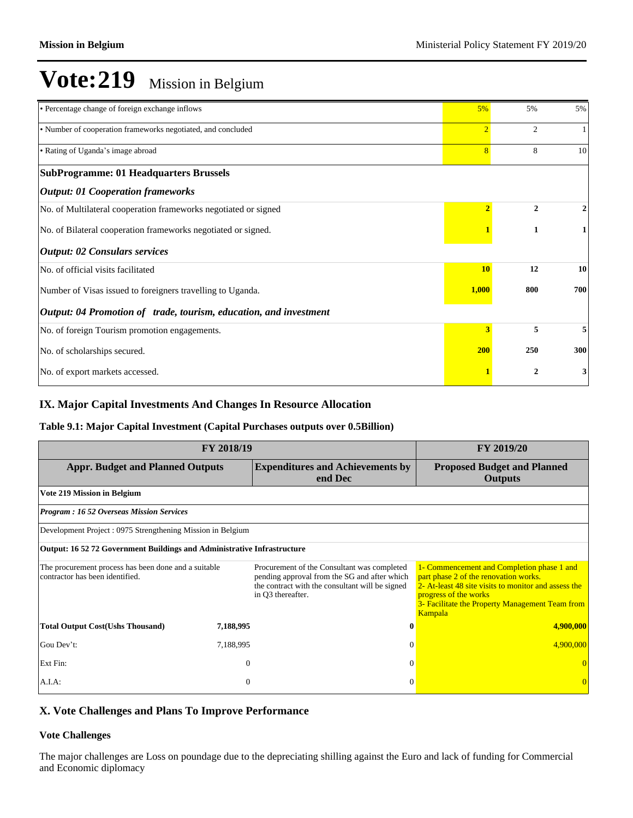| • Percentage change of foreign exchange inflows                   | 5%             | 5%           | 5%  |
|-------------------------------------------------------------------|----------------|--------------|-----|
| • Number of cooperation frameworks negotiated, and concluded      | $\overline{2}$ | 2            |     |
| • Rating of Uganda's image abroad                                 | $\overline{8}$ | 8            | 10  |
| <b>SubProgramme: 01 Headquarters Brussels</b>                     |                |              |     |
| <b>Output: 01 Cooperation frameworks</b>                          |                |              |     |
| No. of Multilateral cooperation frameworks negotiated or signed   |                | $\mathbf{2}$ | 2   |
| No. of Bilateral cooperation frameworks negotiated or signed.     |                | 1            | 1   |
| <b>Output: 02 Consulars services</b>                              |                |              |     |
| No. of official visits facilitated                                | <b>10</b>      | 12           | 10  |
| Number of Visas issued to foreigners travelling to Uganda.        | 1,000          | 800          | 700 |
| Output: 04 Promotion of trade, tourism, education, and investment |                |              |     |
| No. of foreign Tourism promotion engagements.                     | 3              | 5            | 5   |
| No. of scholarships secured.                                      | <b>200</b>     | 250          | 300 |
| No. of export markets accessed.                                   |                | $\mathbf{2}$ | 3   |

#### **IX. Major Capital Investments And Changes In Resource Allocation**

#### **Table 9.1: Major Capital Investment (Capital Purchases outputs over 0.5Billion)**

| <b>FY 2018/19</b>                                                                       | <b>FY 2019/20</b> |                                                                                                                                                                     |                                                                                                                                                                                                                                           |  |  |
|-----------------------------------------------------------------------------------------|-------------------|---------------------------------------------------------------------------------------------------------------------------------------------------------------------|-------------------------------------------------------------------------------------------------------------------------------------------------------------------------------------------------------------------------------------------|--|--|
| <b>Appr. Budget and Planned Outputs</b>                                                 |                   | <b>Expenditures and Achievements by</b><br>end Dec                                                                                                                  | <b>Proposed Budget and Planned</b><br><b>Outputs</b>                                                                                                                                                                                      |  |  |
| Vote 219 Mission in Belgium                                                             |                   |                                                                                                                                                                     |                                                                                                                                                                                                                                           |  |  |
| <b>Program: 16 52 Overseas Mission Services</b>                                         |                   |                                                                                                                                                                     |                                                                                                                                                                                                                                           |  |  |
| Development Project: 0975 Strengthening Mission in Belgium                              |                   |                                                                                                                                                                     |                                                                                                                                                                                                                                           |  |  |
| <b>Output: 16 52 72 Government Buildings and Administrative Infrastructure</b>          |                   |                                                                                                                                                                     |                                                                                                                                                                                                                                           |  |  |
| The procurement process has been done and a suitable<br>contractor has been identified. |                   | Procurement of the Consultant was completed<br>pending approval from the SG and after which<br>the contract with the consultant will be signed<br>in Q3 thereafter. | 1- Commencement and Completion phase 1 and<br>part phase 2 of the renovation works.<br>2- At-least 48 site visits to monitor and assess the<br>progress of the works<br>3- Facilitate the Property Management Team from<br><b>Kampala</b> |  |  |
| <b>Total Output Cost(Ushs Thousand)</b>                                                 | 7,188,995         | $\mathbf 0$                                                                                                                                                         | 4,900,000                                                                                                                                                                                                                                 |  |  |
| Gou Dev't:                                                                              | 7,188,995         |                                                                                                                                                                     | 4,900,000                                                                                                                                                                                                                                 |  |  |
| Ext Fin:                                                                                | $\theta$          | $\Omega$                                                                                                                                                            |                                                                                                                                                                                                                                           |  |  |
| A.I.A:                                                                                  | $\theta$          | $\Omega$                                                                                                                                                            |                                                                                                                                                                                                                                           |  |  |

### **X. Vote Challenges and Plans To Improve Performance**

#### **Vote Challenges**

The major challenges are Loss on poundage due to the depreciating shilling against the Euro and lack of funding for Commercial and Economic diplomacy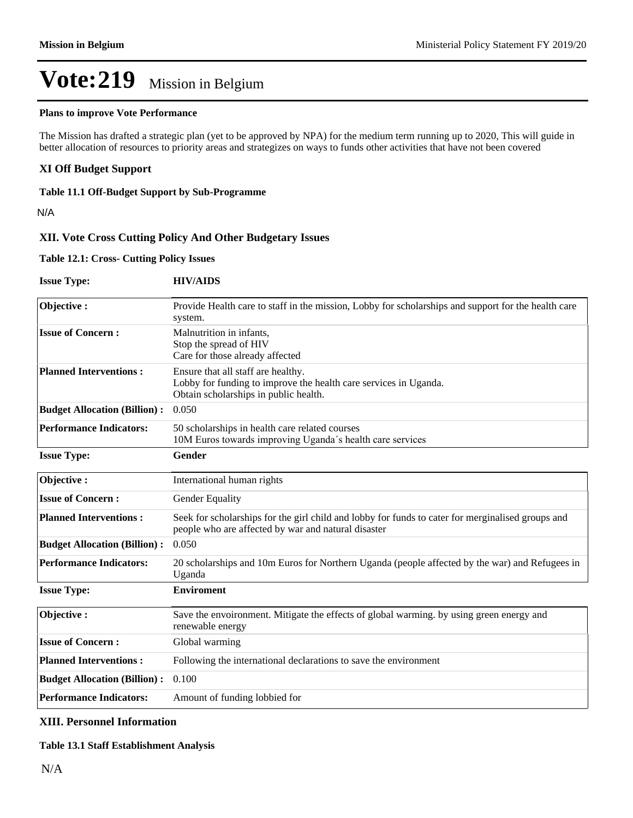#### **Plans to improve Vote Performance**

The Mission has drafted a strategic plan (yet to be approved by NPA) for the medium term running up to 2020, This will guide in better allocation of resources to priority areas and strategizes on ways to funds other activities that have not been covered

#### **XI Off Budget Support**

#### **Table 11.1 Off-Budget Support by Sub-Programme**

N/A

#### **XII. Vote Cross Cutting Policy And Other Budgetary Issues**

#### **Table 12.1: Cross- Cutting Policy Issues**

**Issue Type: HIV/AIDS**

| Objective:                          | Provide Health care to staff in the mission, Lobby for scholarships and support for the health care<br>system.                                           |
|-------------------------------------|----------------------------------------------------------------------------------------------------------------------------------------------------------|
| <b>Issue of Concern:</b>            | Malnutrition in infants,<br>Stop the spread of HIV<br>Care for those already affected                                                                    |
| <b>Planned Interventions:</b>       | Ensure that all staff are healthy.<br>Lobby for funding to improve the health care services in Uganda.<br>Obtain scholarships in public health.          |
| <b>Budget Allocation (Billion):</b> | 0.050                                                                                                                                                    |
| <b>Performance Indicators:</b>      | 50 scholarships in health care related courses<br>10M Euros towards improving Uganda's health care services                                              |
| <b>Issue Type:</b>                  | <b>Gender</b>                                                                                                                                            |
| Objective:                          | International human rights                                                                                                                               |
| <b>Issue of Concern:</b>            | Gender Equality                                                                                                                                          |
| <b>Planned Interventions:</b>       | Seek for scholarships for the girl child and lobby for funds to cater for merginalised groups and<br>people who are affected by war and natural disaster |
| <b>Budget Allocation (Billion):</b> | 0.050                                                                                                                                                    |
| <b>Performance Indicators:</b>      | 20 scholarships and 10m Euros for Northern Uganda (people affected by the war) and Refugees in<br>Uganda                                                 |
| <b>Issue Type:</b>                  | <b>Enviroment</b>                                                                                                                                        |
| Objective:                          | Save the envoironment. Mitigate the effects of global warming, by using green energy and<br>renewable energy                                             |
| <b>Issue of Concern:</b>            | Global warming                                                                                                                                           |
| <b>Planned Interventions:</b>       | Following the international declarations to save the environment                                                                                         |
| <b>Budget Allocation (Billion):</b> | 0.100                                                                                                                                                    |
| <b>Performance Indicators:</b>      | Amount of funding lobbied for                                                                                                                            |

#### **XIII. Personnel Information**

#### **Table 13.1 Staff Establishment Analysis**